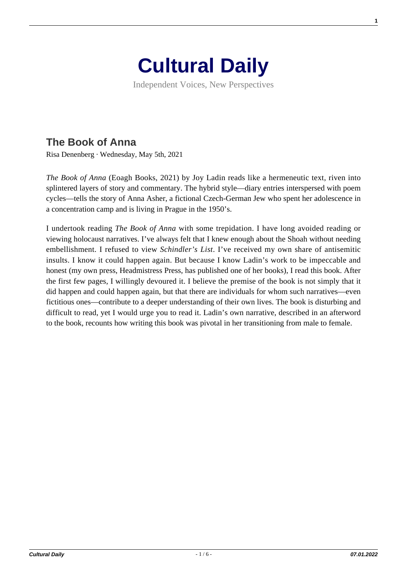

Independent Voices, New Perspectives

## **[The Book of Anna](https://culturaldaily.com/the-book-of-anna/)**

Risa Denenberg · Wednesday, May 5th, 2021

*The Book of Anna* (Eoagh Books, 2021) by Joy Ladin reads like a hermeneutic text, riven into splintered layers of story and commentary. The hybrid style—diary entries interspersed with poem cycles—tells the story of Anna Asher, a fictional Czech-German Jew who spent her adolescence in a concentration camp and is living in Prague in the 1950's.

I undertook reading *The Book of Anna* with some trepidation. I have long avoided reading or viewing holocaust narratives. I've always felt that I knew enough about the Shoah without needing embellishment. I refused to view *Schindler's List*. I've received my own share of antisemitic insults. I know it could happen again. But because I know Ladin's work to be impeccable and honest (my own press, Headmistress Press, has published one of her books), I read this book. After the first few pages, I willingly devoured it. I believe the premise of the book is not simply that it did happen and could happen again, but that there are individuals for whom such narratives—even fictitious ones—contribute to a deeper understanding of their own lives. The book is disturbing and difficult to read, yet I would urge you to read it. Ladin's own narrative, described in an afterword to the book, recounts how writing this book was pivotal in her transitioning from male to female.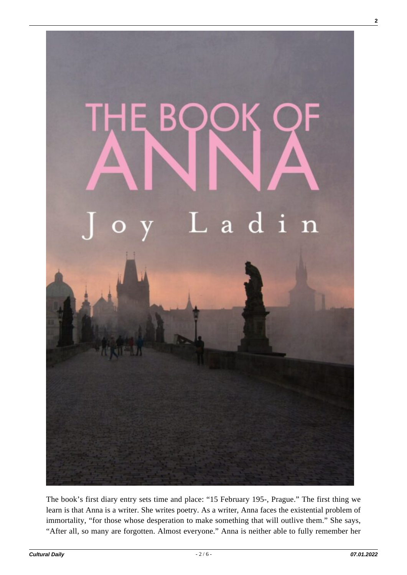

The book's first diary entry sets time and place: "15 February 195-, Prague." The first thing we learn is that Anna is a writer. She writes poetry. As a writer, Anna faces the existential problem of immortality, "for those whose desperation to make something that will outlive them." She says, "After all, so many are forgotten. Almost everyone." Anna is neither able to fully remember her

**2**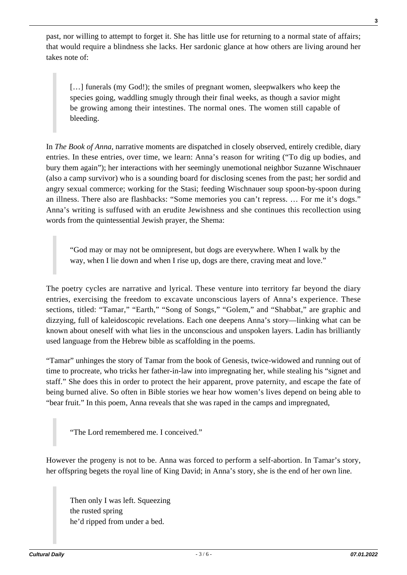past, nor willing to attempt to forget it. She has little use for returning to a normal state of affairs; that would require a blindness she lacks. Her sardonic glance at how others are living around her takes note of:

[...] funerals (my God!); the smiles of pregnant women, sleepwalkers who keep the species going, waddling smugly through their final weeks, as though a savior might be growing among their intestines. The normal ones. The women still capable of bleeding.

In *The Book of Anna,* narrative moments are dispatched in closely observed, entirely credible, diary entries. In these entries, over time, we learn: Anna's reason for writing ("To dig up bodies, and bury them again"); her interactions with her seemingly unemotional neighbor Suzanne Wischnauer (also a camp survivor) who is a sounding board for disclosing scenes from the past; her sordid and angry sexual commerce; working for the Stasi; feeding Wischnauer soup spoon-by-spoon during an illness. There also are flashbacks: "Some memories you can't repress. … For me it's dogs." Anna's writing is suffused with an erudite Jewishness and she continues this recollection using words from the quintessential Jewish prayer, the Shema:

"God may or may not be omnipresent, but dogs are everywhere. When I walk by the way, when I lie down and when I rise up, dogs are there, craving meat and love."

The poetry cycles are narrative and lyrical. These venture into territory far beyond the diary entries, exercising the freedom to excavate unconscious layers of Anna's experience. These sections, titled: "Tamar," "Earth," "Song of Songs," "Golem," and "Shabbat," are graphic and dizzying, full of kaleidoscopic revelations. Each one deepens Anna's story—linking what can be known about oneself with what lies in the unconscious and unspoken layers. Ladin has brilliantly used language from the Hebrew bible as scaffolding in the poems.

"Tamar" unhinges the story of Tamar from the book of Genesis, twice-widowed and running out of time to procreate, who tricks her father-in-law into impregnating her, while stealing his "signet and staff." She does this in order to protect the heir apparent, prove paternity, and escape the fate of being burned alive. So often in Bible stories we hear how women's lives depend on being able to "bear fruit." In this poem, Anna reveals that she was raped in the camps and impregnated,

"The Lord remembered me. I conceived."

However the progeny is not to be. Anna was forced to perform a self-abortion. In Tamar's story, her offspring begets the royal line of King David; in Anna's story, she is the end of her own line.

Then only I was left. Squeezing the rusted spring he'd ripped from under a bed.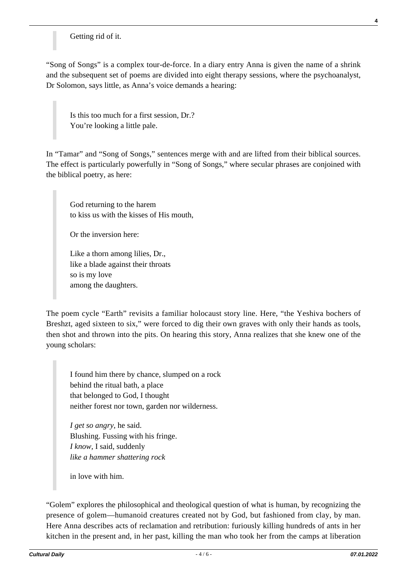## Getting rid of it.

"Song of Songs" is a complex tour-de-force. In a diary entry Anna is given the name of a shrink and the subsequent set of poems are divided into eight therapy sessions, where the psychoanalyst, Dr Solomon, says little, as Anna's voice demands a hearing:

Is this too much for a first session, Dr.? You're looking a little pale.

In "Tamar" and "Song of Songs," sentences merge with and are lifted from their biblical sources. The effect is particularly powerfully in "Song of Songs," where secular phrases are conjoined with the biblical poetry, as here:

God returning to the harem to kiss us with the kisses of His mouth,

Or the inversion here:

Like a thorn among lilies, Dr., like a blade against their throats so is my love among the daughters.

The poem cycle "Earth" revisits a familiar holocaust story line. Here, "the Yeshiva bochers of Breshzt, aged sixteen to six," were forced to dig their own graves with only their hands as tools, then shot and thrown into the pits. On hearing this story, Anna realizes that she knew one of the young scholars:

I found him there by chance, slumped on a rock behind the ritual bath, a place that belonged to God, I thought neither forest nor town, garden nor wilderness.

*I get so angry,* he said. Blushing. Fussing with his fringe. *I know,* I said, suddenly *like a hammer shattering rock*

in love with him.

"Golem" explores the philosophical and theological question of what is human, by recognizing the presence of golem—humanoid creatures created not by God, but fashioned from clay, by man. Here Anna describes acts of reclamation and retribution: furiously killing hundreds of ants in her kitchen in the present and, in her past, killing the man who took her from the camps at liberation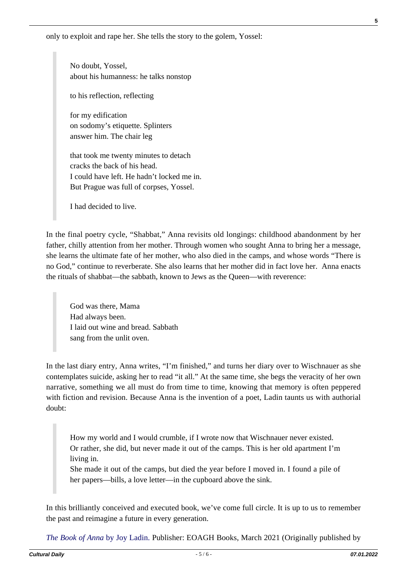only to exploit and rape her. She tells the story to the golem, Yossel:

No doubt, Yossel, about his humanness: he talks nonstop

to his reflection, reflecting

for my edification on sodomy's etiquette. Splinters answer him. The chair leg

that took me twenty minutes to detach cracks the back of his head. I could have left. He hadn't locked me in. But Prague was full of corpses, Yossel.

I had decided to live.

In the final poetry cycle, "Shabbat," Anna revisits old longings: childhood abandonment by her father, chilly attention from her mother. Through women who sought Anna to bring her a message, she learns the ultimate fate of her mother, who also died in the camps, and whose words "There is no God," continue to reverberate. She also learns that her mother did in fact love her. Anna enacts the rituals of shabbat—the sabbath, known to Jews as the Queen—with reverence:

God was there, Mama Had always been. I laid out wine and bread. Sabbath sang from the unlit oven.

In the last diary entry, Anna writes, "I'm finished," and turns her diary over to Wischnauer as she contemplates suicide, asking her to read "it all." At the same time, she begs the veracity of her own narrative, something we all must do from time to time, knowing that memory is often peppered with fiction and revision. Because Anna is the invention of a poet, Ladin taunts us with authorial doubt:

How my world and I would crumble, if I wrote now that Wischnauer never existed. Or rather, she did, but never made it out of the camps. This is her old apartment I'm living in.

She made it out of the camps, but died the year before I moved in. I found a pile of her papers—bills, a love letter—in the cupboard above the sink.

In this brilliantly conceived and executed book, we've come full circle. It is up to us to remember the past and reimagine a future in every generation.

*[The Book of Anna](https://www.spdbooks.org/Products/9781792307225/the-book-of-anna.aspx)* [by Joy Ladin.](https://www.spdbooks.org/Products/9781792307225/the-book-of-anna.aspx) Publisher: EOAGH Books, March 2021 (Originally published by